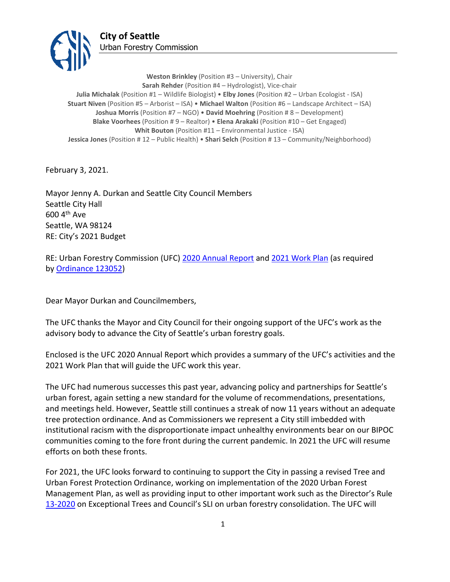

**Weston Brinkley** (Position #3 – University), Chair **Sarah Rehder** (Position #4 – Hydrologist), Vice-chair **Julia Michalak** (Position #1 – Wildlife Biologist) • **Elby Jones** (Position #2 – Urban Ecologist - ISA) **Stuart Niven** (Position #5 – Arborist – ISA) • **Michael Walton** (Position #6 – Landscape Architect – ISA) **Joshua Morris** (Position #7 – NGO) • **David Moehring** (Position # 8 – Development) **Blake Voorhees** (Position # 9 – Realtor) • **Elena Arakaki** (Position #10 – Get Engaged) **Whit Bouton** (Position #11 – Environmental Justice - ISA) **Jessica Jones** (Position # 12 – Public Health) • **Shari Selch** (Position # 13 – Community/Neighborhood)

February 3, 2021.

Mayor Jenny A. Durkan and Seattle City Council Members Seattle City Hall 600 4th Ave Seattle, WA 98124 RE: City's 2021 Budget

RE: Urban Forestry Commission (UFC) [2020 Annual Report](http://www.seattle.gov/Documents/Departments/UrbanForestryCommission/FinalIssuedDocuments/AnnualReports/ADOPTED2020UFCAnnualReport020321.pdf) and [2021 Work Plan](http://www.seattle.gov/Documents/Departments/UrbanForestryCommission/FinalIssuedDocuments/WorkPlans/ADOPTED2021workplan020321.pdf) (as required by [Ordinance 123052\)](http://clerk.ci.seattle.wa.us/search/ordinances/123052)

Dear Mayor Durkan and Councilmembers,

The UFC thanks the Mayor and City Council for their ongoing support of the UFC's work as the advisory body to advance the City of Seattle's urban forestry goals.

Enclosed is the UFC 2020 Annual Report which provides a summary of the UFC's activities and the 2021 Work Plan that will guide the UFC work this year.

The UFC had numerous successes this past year, advancing policy and partnerships for Seattle's urban forest, again setting a new standard for the volume of recommendations, presentations, and meetings held. However, Seattle still continues a streak of now 11 years without an adequate tree protection ordinance. And as Commissioners we represent a City still imbedded with institutional racism with the disproportionate impact unhealthy environments bear on our BIPOC communities coming to the fore front during the current pandemic. In 2021 the UFC will resume efforts on both these fronts.

For 2021, the UFC looks forward to continuing to support the City in passing a revised Tree and Urban Forest Protection Ordinance, working on implementation of the 2020 Urban Forest Management Plan, as well as providing input to other important work such as the Director's Rule [13-2020](http://www.seattle.gov/Documents/Departments/UrbanForestryCommission/Resources/07.16.2020%20DDR2020-13.pdf) on Exceptional Trees and Council's SLI on urban forestry consolidation. The UFC will